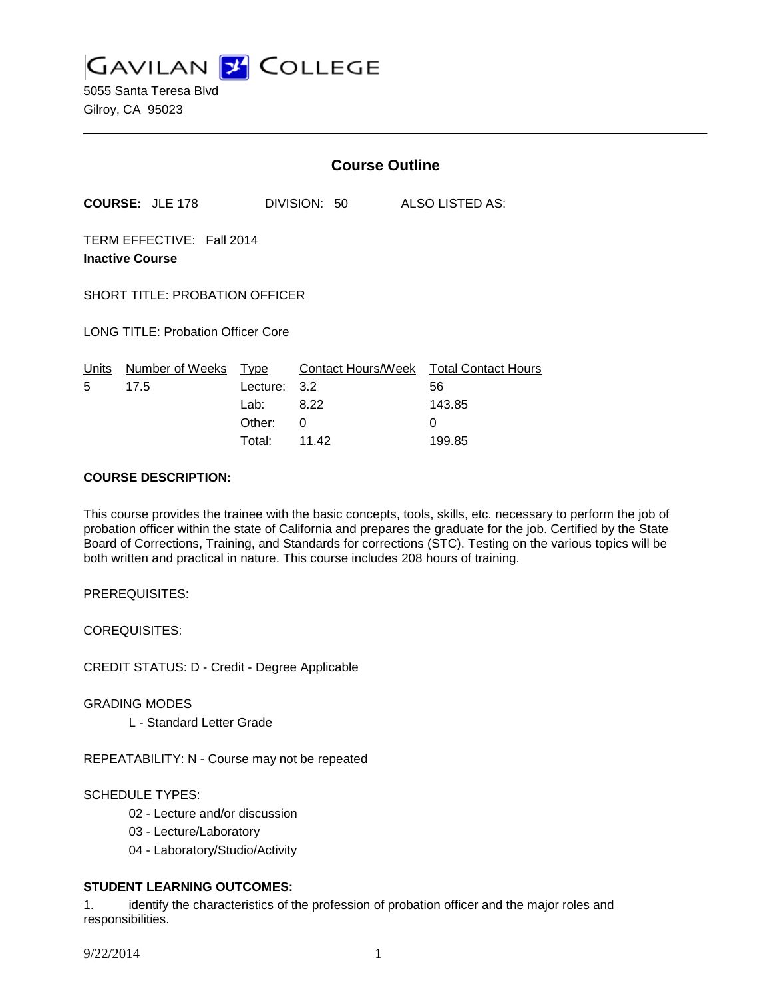**GAVILAN Z COLLEGE** 

5055 Santa Teresa Blvd Gilroy, CA 95023

|                                                     |                        | <b>Course Outline</b> |                    |  |                            |
|-----------------------------------------------------|------------------------|-----------------------|--------------------|--|----------------------------|
|                                                     | <b>COURSE: JLE 178</b> |                       | DIVISION: 50       |  | ALSO LISTED AS:            |
| TERM EFFECTIVE: Fall 2014<br><b>Inactive Course</b> |                        |                       |                    |  |                            |
| <b>SHORT TITLE: PROBATION OFFICER</b>               |                        |                       |                    |  |                            |
| <b>LONG TITLE: Probation Officer Core</b>           |                        |                       |                    |  |                            |
|                                                     | Units Number of Weeks  | <b>Type</b>           | Contact Hours/Week |  | <b>Total Contact Hours</b> |
| 5                                                   | 17.5                   | Lecture:              | 3.2                |  | 56                         |
|                                                     |                        | Lab:                  | 8.22               |  | 143.85                     |
|                                                     |                        | Other:                | 0                  |  | 0                          |
|                                                     |                        | Total:                | 11.42              |  | 199.85                     |

#### **COURSE DESCRIPTION:**

This course provides the trainee with the basic concepts, tools, skills, etc. necessary to perform the job of probation officer within the state of California and prepares the graduate for the job. Certified by the State Board of Corrections, Training, and Standards for corrections (STC). Testing on the various topics will be both written and practical in nature. This course includes 208 hours of training.

PREREQUISITES:

COREQUISITES:

CREDIT STATUS: D - Credit - Degree Applicable

GRADING MODES

L - Standard Letter Grade

REPEATABILITY: N - Course may not be repeated

SCHEDULE TYPES:

02 - Lecture and/or discussion

03 - Lecture/Laboratory

04 - Laboratory/Studio/Activity

## **STUDENT LEARNING OUTCOMES:**

1. identify the characteristics of the profession of probation officer and the major roles and responsibilities.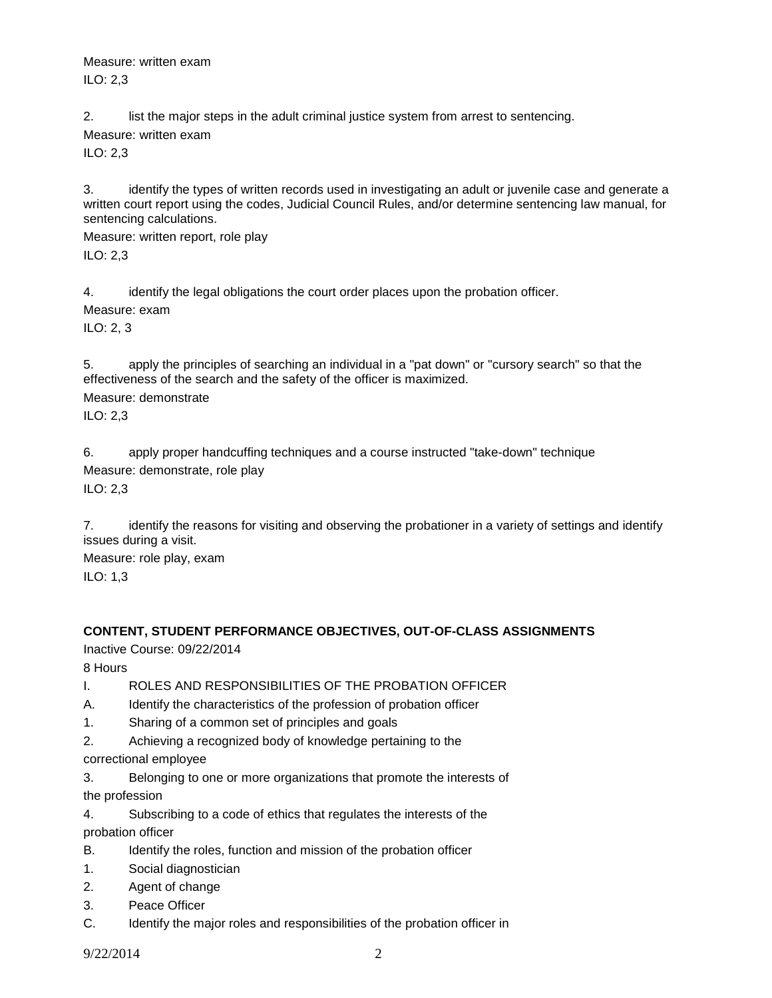Measure: written exam ILO: 2,3

2. list the major steps in the adult criminal justice system from arrest to sentencing.

Measure: written exam

ILO: 2,3

3. identify the types of written records used in investigating an adult or juvenile case and generate a written court report using the codes, Judicial Council Rules, and/or determine sentencing law manual, for sentencing calculations.

Measure: written report, role play ILO: 2,3

4. identify the legal obligations the court order places upon the probation officer.

Measure: exam

ILO: 2, 3

5. apply the principles of searching an individual in a "pat down" or "cursory search" so that the effectiveness of the search and the safety of the officer is maximized. Measure: demonstrate

ILO: 2,3

6. apply proper handcuffing techniques and a course instructed "take-down" technique Measure: demonstrate, role play ILO: 2,3

7. identify the reasons for visiting and observing the probationer in a variety of settings and identify issues during a visit.

Measure: role play, exam ILO: 1,3

# **CONTENT, STUDENT PERFORMANCE OBJECTIVES, OUT-OF-CLASS ASSIGNMENTS**

Inactive Course: 09/22/2014

8 Hours

I. ROLES AND RESPONSIBILITIES OF THE PROBATION OFFICER

- A. Identify the characteristics of the profession of probation officer
- 1. Sharing of a common set of principles and goals
- 2. Achieving a recognized body of knowledge pertaining to the

correctional employee

3. Belonging to one or more organizations that promote the interests of the profession

4. Subscribing to a code of ethics that regulates the interests of the probation officer

- B. Identify the roles, function and mission of the probation officer
- 1. Social diagnostician
- 2. Agent of change
- 3. Peace Officer
- C. Identify the major roles and responsibilities of the probation officer in

9/22/2014 2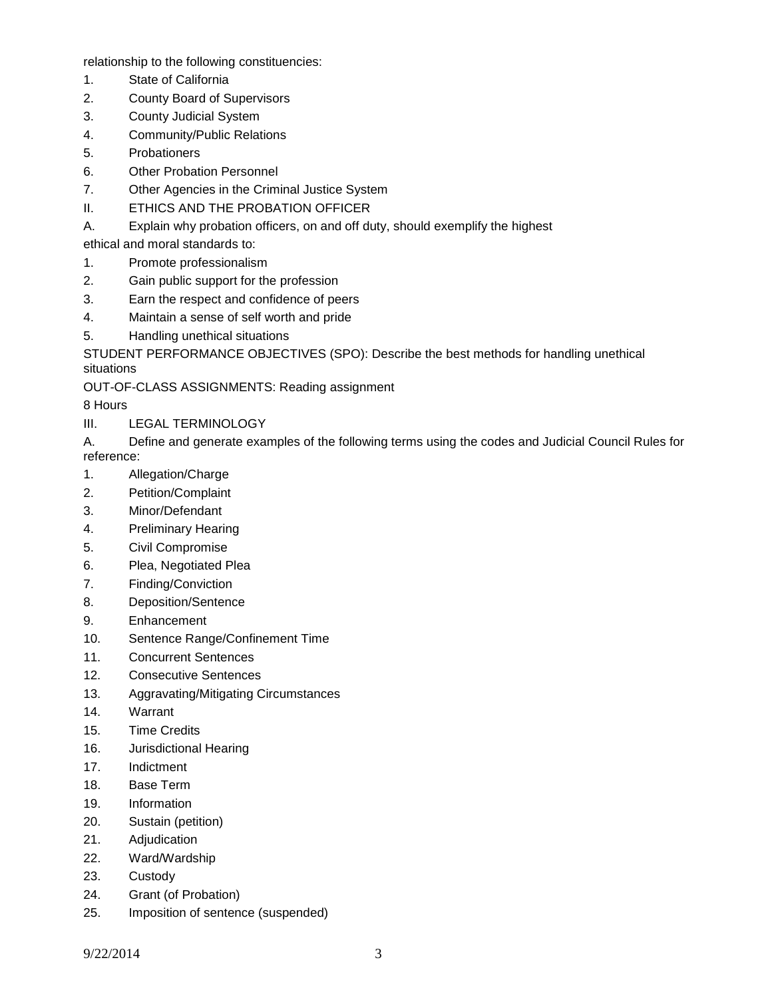relationship to the following constituencies:

- 1. State of California
- 2. County Board of Supervisors
- 3. County Judicial System
- 4. Community/Public Relations
- 5. Probationers
- 6. Other Probation Personnel
- 7. Other Agencies in the Criminal Justice System
- II. ETHICS AND THE PROBATION OFFICER
- A. Explain why probation officers, on and off duty, should exemplify the highest
- ethical and moral standards to:
- 1. Promote professionalism
- 2. Gain public support for the profession
- 3. Earn the respect and confidence of peers
- 4. Maintain a sense of self worth and pride
- 5. Handling unethical situations

STUDENT PERFORMANCE OBJECTIVES (SPO): Describe the best methods for handling unethical situations

OUT-OF-CLASS ASSIGNMENTS: Reading assignment

8 Hours

- III. LEGAL TERMINOLOGY
- A. Define and generate examples of the following terms using the codes and Judicial Council Rules for reference:
- 1. Allegation/Charge
- 2. Petition/Complaint
- 3. Minor/Defendant
- 4. Preliminary Hearing
- 5. Civil Compromise
- 6. Plea, Negotiated Plea
- 7. Finding/Conviction
- 8. Deposition/Sentence
- 9. Enhancement
- 10. Sentence Range/Confinement Time
- 11. Concurrent Sentences
- 12. Consecutive Sentences
- 13. Aggravating/Mitigating Circumstances
- 14. Warrant
- 15. Time Credits
- 16. Jurisdictional Hearing
- 17. Indictment
- 18. Base Term
- 19. Information
- 20. Sustain (petition)
- 21. Adjudication
- 22. Ward/Wardship
- 23. Custody
- 24. Grant (of Probation)
- 25. Imposition of sentence (suspended)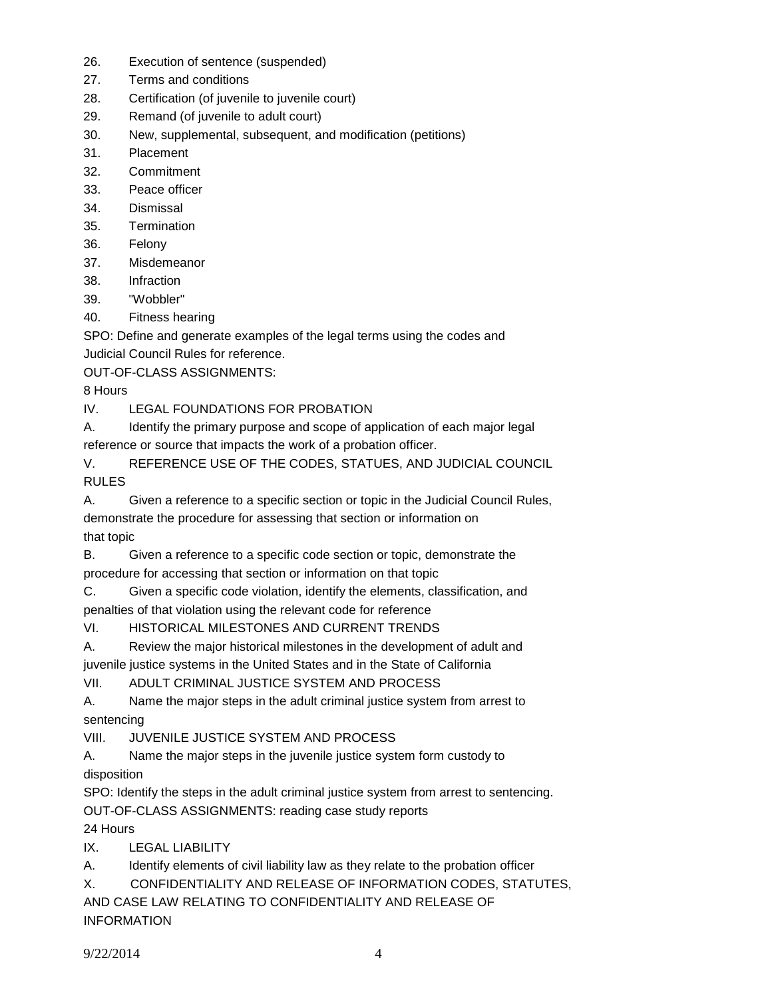- 26. Execution of sentence (suspended)
- 27. Terms and conditions
- 28. Certification (of juvenile to juvenile court)
- 29. Remand (of juvenile to adult court)
- 30. New, supplemental, subsequent, and modification (petitions)
- 31. Placement
- 32. Commitment
- 33. Peace officer
- 34. Dismissal
- 35. Termination
- 36. Felony
- 37. Misdemeanor
- 38. Infraction
- 39. "Wobbler"
- 40. Fitness hearing

SPO: Define and generate examples of the legal terms using the codes and Judicial Council Rules for reference.

OUT-OF-CLASS ASSIGNMENTS:

8 Hours

IV. LEGAL FOUNDATIONS FOR PROBATION

A. Identify the primary purpose and scope of application of each major legal reference or source that impacts the work of a probation officer.

V. REFERENCE USE OF THE CODES, STATUES, AND JUDICIAL COUNCIL RULES

A. Given a reference to a specific section or topic in the Judicial Council Rules, demonstrate the procedure for assessing that section or information on that topic

B. Given a reference to a specific code section or topic, demonstrate the procedure for accessing that section or information on that topic

C. Given a specific code violation, identify the elements, classification, and penalties of that violation using the relevant code for reference

VI. HISTORICAL MILESTONES AND CURRENT TRENDS

A. Review the major historical milestones in the development of adult and juvenile justice systems in the United States and in the State of California

VII. ADULT CRIMINAL JUSTICE SYSTEM AND PROCESS

A. Name the major steps in the adult criminal justice system from arrest to sentencing

VIII. JUVENILE JUSTICE SYSTEM AND PROCESS

A. Name the major steps in the juvenile justice system form custody to disposition

SPO: Identify the steps in the adult criminal justice system from arrest to sentencing.

OUT-OF-CLASS ASSIGNMENTS: reading case study reports

24 Hours

IX. LEGAL LIABILITY

A. Identify elements of civil liability law as they relate to the probation officer

X. CONFIDENTIALITY AND RELEASE OF INFORMATION CODES, STATUTES,

AND CASE LAW RELATING TO CONFIDENTIALITY AND RELEASE OF INFORMATION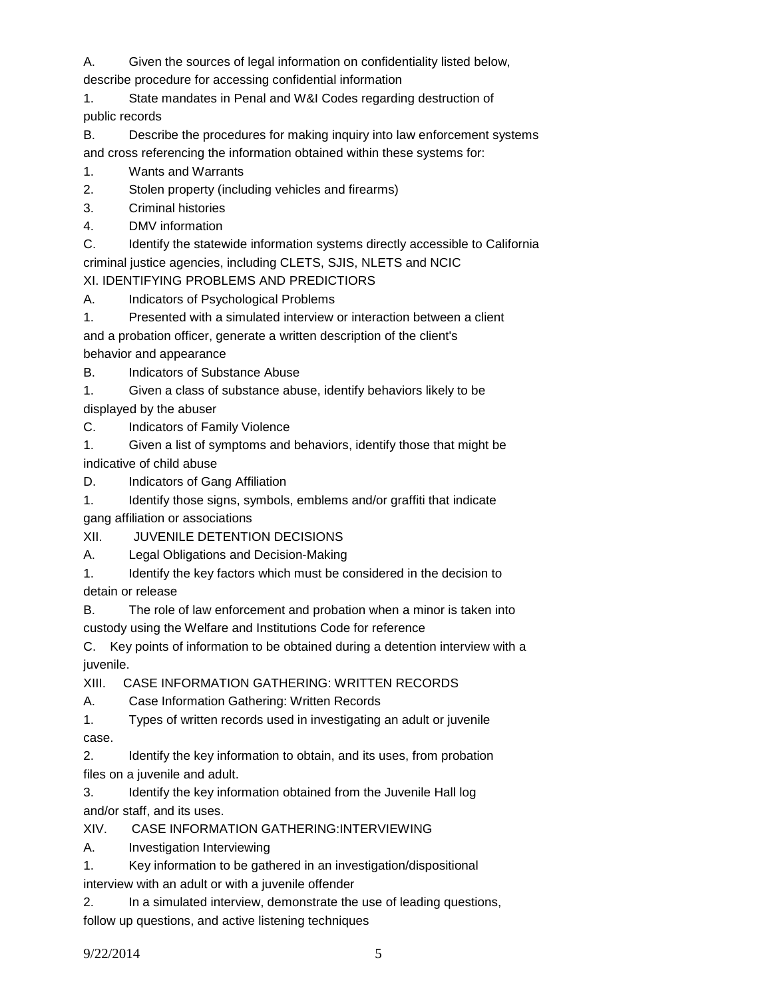A. Given the sources of legal information on confidentiality listed below,

describe procedure for accessing confidential information

1. State mandates in Penal and W&I Codes regarding destruction of public records

B. Describe the procedures for making inquiry into law enforcement systems and cross referencing the information obtained within these systems for:

- 1. Wants and Warrants
- 2. Stolen property (including vehicles and firearms)
- 3. Criminal histories
- 4. DMV information

C. Identify the statewide information systems directly accessible to California criminal justice agencies, including CLETS, SJIS, NLETS and NCIC XI. IDENTIFYING PROBLEMS AND PREDICTIORS

A. Indicators of Psychological Problems

1. Presented with a simulated interview or interaction between a client and a probation officer, generate a written description of the client's behavior and appearance

B. Indicators of Substance Abuse

1. Given a class of substance abuse, identify behaviors likely to be

displayed by the abuser

C. Indicators of Family Violence

1. Given a list of symptoms and behaviors, identify those that might be indicative of child abuse

D. Indicators of Gang Affiliation

1. Identify those signs, symbols, emblems and/or graffiti that indicate gang affiliation or associations

XII. JUVENILE DETENTION DECISIONS

A. Legal Obligations and Decision-Making

1. Identify the key factors which must be considered in the decision to

detain or release

B. The role of law enforcement and probation when a minor is taken into custody using the Welfare and Institutions Code for reference

C. Key points of information to be obtained during a detention interview with a juvenile.

XIII. CASE INFORMATION GATHERING: WRITTEN RECORDS

A. Case Information Gathering: Written Records

1. Types of written records used in investigating an adult or juvenile case.

2. Identify the key information to obtain, and its uses, from probation files on a juvenile and adult.

3. Identify the key information obtained from the Juvenile Hall log and/or staff, and its uses.

XIV. CASE INFORMATION GATHERING:INTERVIEWING

A. Investigation Interviewing

1. Key information to be gathered in an investigation/dispositional interview with an adult or with a juvenile offender

2. In a simulated interview, demonstrate the use of leading questions, follow up questions, and active listening techniques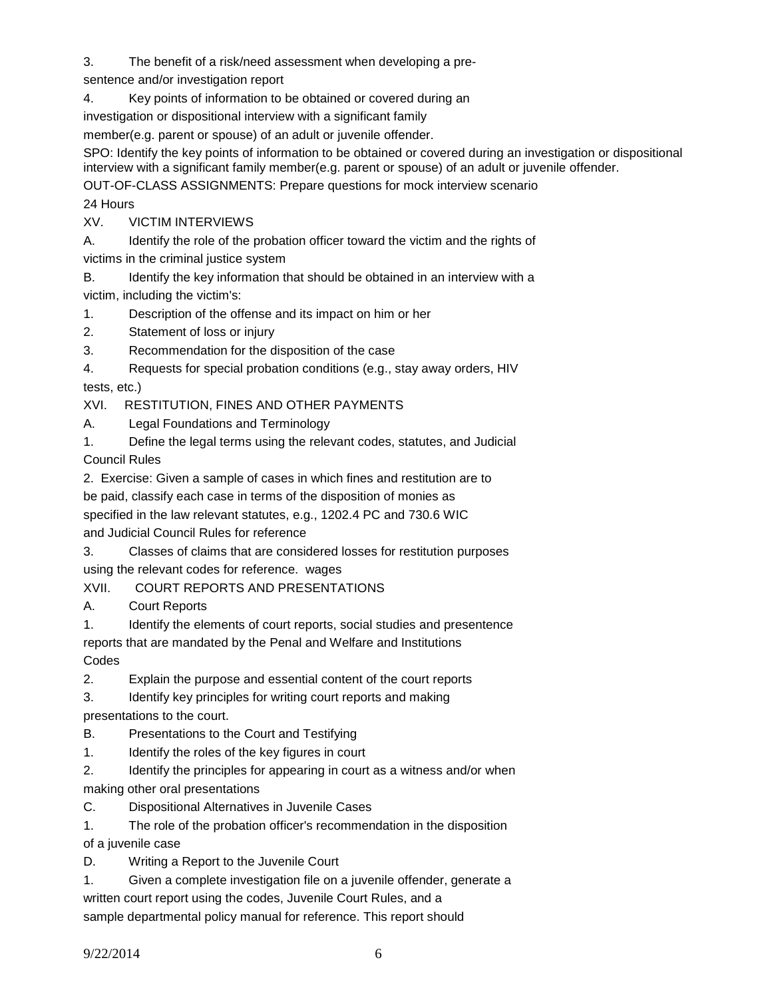3. The benefit of a risk/need assessment when developing a pre-

sentence and/or investigation report

4. Key points of information to be obtained or covered during an

investigation or dispositional interview with a significant family

member(e.g. parent or spouse) of an adult or juvenile offender.

SPO: Identify the key points of information to be obtained or covered during an investigation or dispositional interview with a significant family member(e.g. parent or spouse) of an adult or juvenile offender.

OUT-OF-CLASS ASSIGNMENTS: Prepare questions for mock interview scenario

# 24 Hours

XV. VICTIM INTERVIEWS

A. Identify the role of the probation officer toward the victim and the rights of victims in the criminal justice system

B. Identify the key information that should be obtained in an interview with a

victim, including the victim's: 1. Description of the offense and its impact on him or her

2. Statement of loss or injury

3. Recommendation for the disposition of the case

4. Requests for special probation conditions (e.g., stay away orders, HIV

tests, etc.)

XVI. RESTITUTION, FINES AND OTHER PAYMENTS

A. Legal Foundations and Terminology

1. Define the legal terms using the relevant codes, statutes, and Judicial Council Rules

2. Exercise: Given a sample of cases in which fines and restitution are to

be paid, classify each case in terms of the disposition of monies as

specified in the law relevant statutes, e.g., 1202.4 PC and 730.6 WIC

and Judicial Council Rules for reference

3. Classes of claims that are considered losses for restitution purposes using the relevant codes for reference. wages

XVII. COURT REPORTS AND PRESENTATIONS

A. Court Reports

1. Identify the elements of court reports, social studies and presentence

reports that are mandated by the Penal and Welfare and Institutions Codes

2. Explain the purpose and essential content of the court reports

3. Identify key principles for writing court reports and making presentations to the court.

B. Presentations to the Court and Testifying

1. Identify the roles of the key figures in court

2. Identify the principles for appearing in court as a witness and/or when making other oral presentations

C. Dispositional Alternatives in Juvenile Cases

1. The role of the probation officer's recommendation in the disposition

of a juvenile case

D. Writing a Report to the Juvenile Court

1. Given a complete investigation file on a juvenile offender, generate a written court report using the codes, Juvenile Court Rules, and a sample departmental policy manual for reference. This report should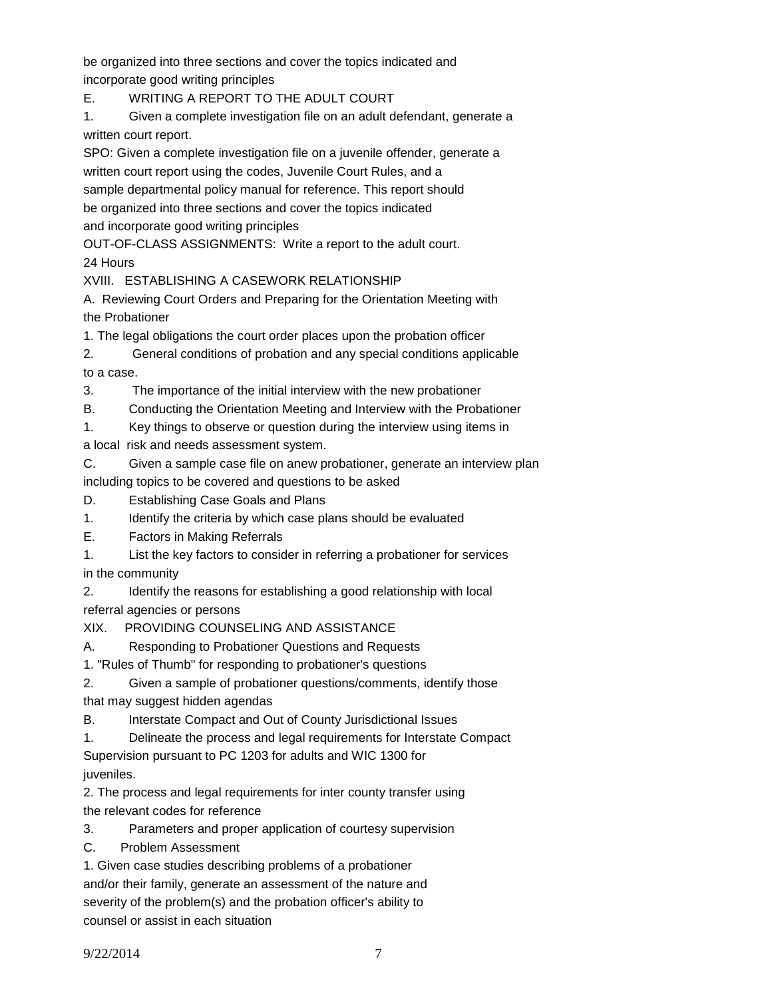be organized into three sections and cover the topics indicated and incorporate good writing principles

E. WRITING A REPORT TO THE ADULT COURT

1. Given a complete investigation file on an adult defendant, generate a written court report.

SPO: Given a complete investigation file on a juvenile offender, generate a written court report using the codes, Juvenile Court Rules, and a sample departmental policy manual for reference. This report should be organized into three sections and cover the topics indicated and incorporate good writing principles

OUT-OF-CLASS ASSIGNMENTS: Write a report to the adult court.

24 Hours

XVIII. ESTABLISHING A CASEWORK RELATIONSHIP

A. Reviewing Court Orders and Preparing for the Orientation Meeting with the Probationer

1. The legal obligations the court order places upon the probation officer

2. General conditions of probation and any special conditions applicable to a case.

3. The importance of the initial interview with the new probationer

B. Conducting the Orientation Meeting and Interview with the Probationer

1. Key things to observe or question during the interview using items in a local risk and needs assessment system.

C. Given a sample case file on anew probationer, generate an interview plan including topics to be covered and questions to be asked

D. Establishing Case Goals and Plans

1. Identify the criteria by which case plans should be evaluated

E. Factors in Making Referrals

1. List the key factors to consider in referring a probationer for services in the community

2. Identify the reasons for establishing a good relationship with local referral agencies or persons

XIX. PROVIDING COUNSELING AND ASSISTANCE

A. Responding to Probationer Questions and Requests

1. "Rules of Thumb" for responding to probationer's questions

2. Given a sample of probationer questions/comments, identify those that may suggest hidden agendas

B. Interstate Compact and Out of County Jurisdictional Issues

1. Delineate the process and legal requirements for Interstate Compact Supervision pursuant to PC 1203 for adults and WIC 1300 for juveniles.

2. The process and legal requirements for inter county transfer using the relevant codes for reference

3. Parameters and proper application of courtesy supervision

C. Problem Assessment

1. Given case studies describing problems of a probationer and/or their family, generate an assessment of the nature and severity of the problem(s) and the probation officer's ability to counsel or assist in each situation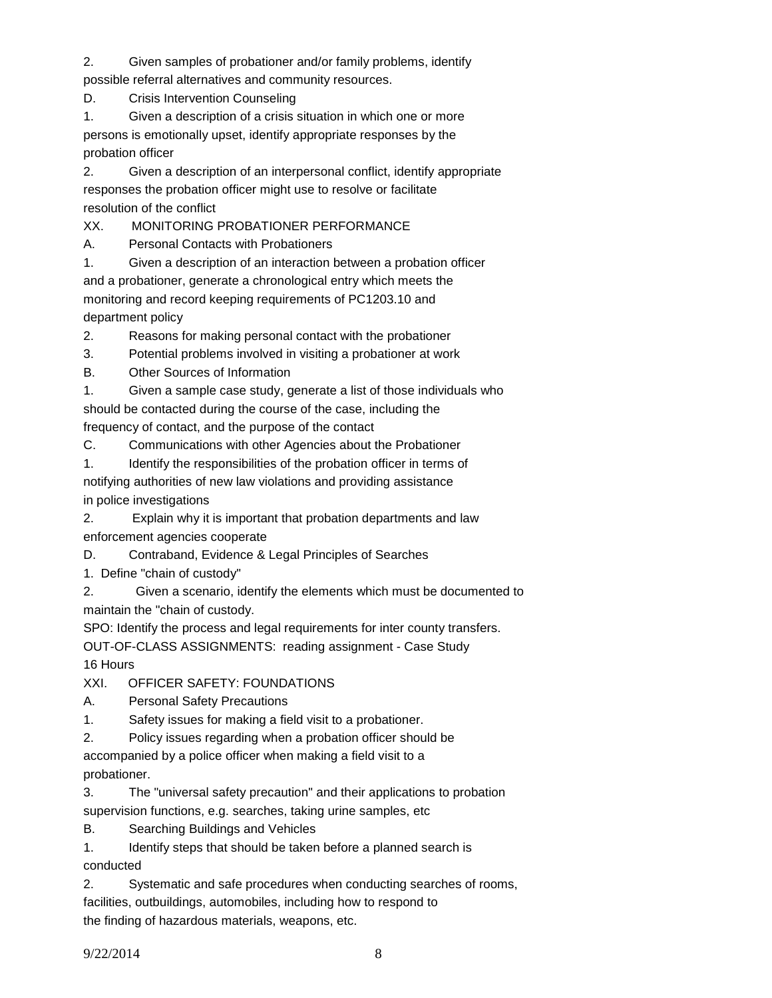2. Given samples of probationer and/or family problems, identify possible referral alternatives and community resources.

D. Crisis Intervention Counseling

1. Given a description of a crisis situation in which one or more persons is emotionally upset, identify appropriate responses by the probation officer

2. Given a description of an interpersonal conflict, identify appropriate responses the probation officer might use to resolve or facilitate resolution of the conflict

XX. MONITORING PROBATIONER PERFORMANCE

A. Personal Contacts with Probationers

1. Given a description of an interaction between a probation officer and a probationer, generate a chronological entry which meets the monitoring and record keeping requirements of PC1203.10 and department policy

2. Reasons for making personal contact with the probationer

3. Potential problems involved in visiting a probationer at work

B. Other Sources of Information

1. Given a sample case study, generate a list of those individuals who should be contacted during the course of the case, including the

frequency of contact, and the purpose of the contact

C. Communications with other Agencies about the Probationer

1. Identify the responsibilities of the probation officer in terms of notifying authorities of new law violations and providing assistance in police investigations

2. Explain why it is important that probation departments and law

enforcement agencies cooperate

D. Contraband, Evidence & Legal Principles of Searches

1. Define "chain of custody"

2. Given a scenario, identify the elements which must be documented to maintain the "chain of custody.

SPO: Identify the process and legal requirements for inter county transfers.

OUT-OF-CLASS ASSIGNMENTS: reading assignment - Case Study 16 Hours

XXI. OFFICER SAFETY: FOUNDATIONS

A. Personal Safety Precautions

1. Safety issues for making a field visit to a probationer.

2. Policy issues regarding when a probation officer should be

accompanied by a police officer when making a field visit to a probationer.

3. The "universal safety precaution" and their applications to probation

supervision functions, e.g. searches, taking urine samples, etc

B. Searching Buildings and Vehicles

1. Identify steps that should be taken before a planned search is conducted

2. Systematic and safe procedures when conducting searches of rooms, facilities, outbuildings, automobiles, including how to respond to the finding of hazardous materials, weapons, etc.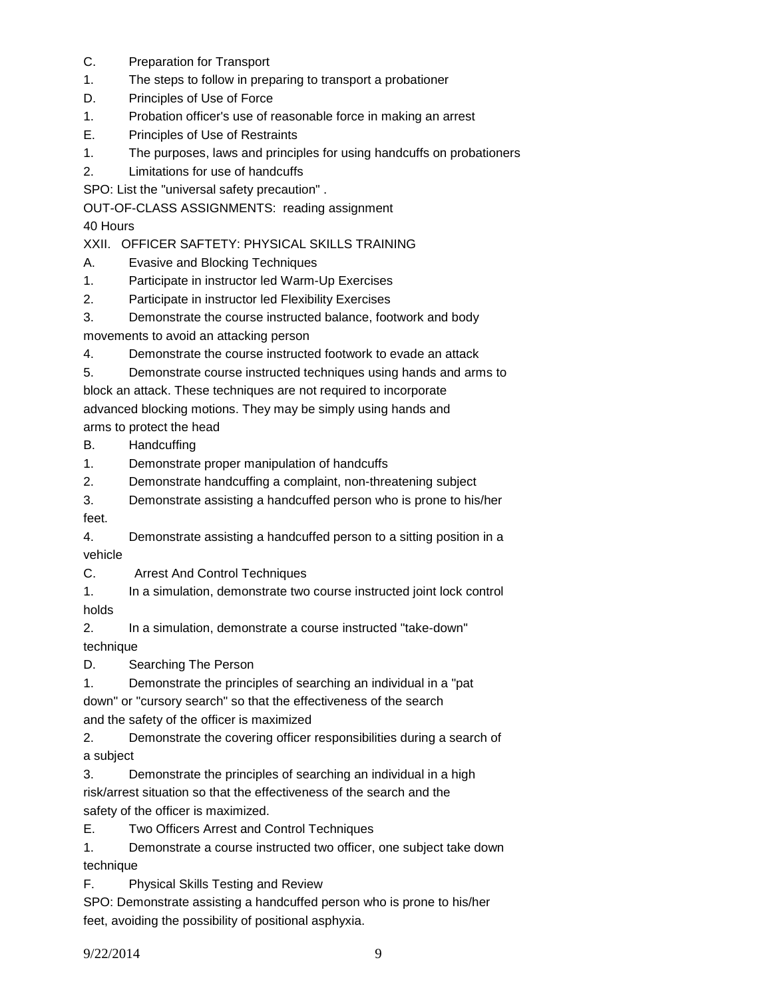- C. Preparation for Transport
- 1. The steps to follow in preparing to transport a probationer
- D. Principles of Use of Force
- 1. Probation officer's use of reasonable force in making an arrest
- E. Principles of Use of Restraints
- 1. The purposes, laws and principles for using handcuffs on probationers
- 2. Limitations for use of handcuffs

SPO: List the "universal safety precaution" .

OUT-OF-CLASS ASSIGNMENTS: reading assignment

40 Hours

XXII. OFFICER SAFTETY: PHYSICAL SKILLS TRAINING

- A. Evasive and Blocking Techniques
- 1. Participate in instructor led Warm-Up Exercises
- 2. Participate in instructor led Flexibility Exercises

3. Demonstrate the course instructed balance, footwork and body movements to avoid an attacking person

4. Demonstrate the course instructed footwork to evade an attack

5. Demonstrate course instructed techniques using hands and arms to

block an attack. These techniques are not required to incorporate advanced blocking motions. They may be simply using hands and

arms to protect the head

- B. Handcuffing
- 1. Demonstrate proper manipulation of handcuffs
- 2. Demonstrate handcuffing a complaint, non-threatening subject
- 3. Demonstrate assisting a handcuffed person who is prone to his/her feet.

4. Demonstrate assisting a handcuffed person to a sitting position in a vehicle

C. Arrest And Control Techniques

1. In a simulation, demonstrate two course instructed joint lock control holds

2. In a simulation, demonstrate a course instructed "take-down"

technique

D. Searching The Person

1. Demonstrate the principles of searching an individual in a "pat

down" or "cursory search" so that the effectiveness of the search and the safety of the officer is maximized

2. Demonstrate the covering officer responsibilities during a search of a subject

3. Demonstrate the principles of searching an individual in a high risk/arrest situation so that the effectiveness of the search and the safety of the officer is maximized.

E. Two Officers Arrest and Control Techniques

1. Demonstrate a course instructed two officer, one subject take down technique

F. Physical Skills Testing and Review

SPO: Demonstrate assisting a handcuffed person who is prone to his/her feet, avoiding the possibility of positional asphyxia.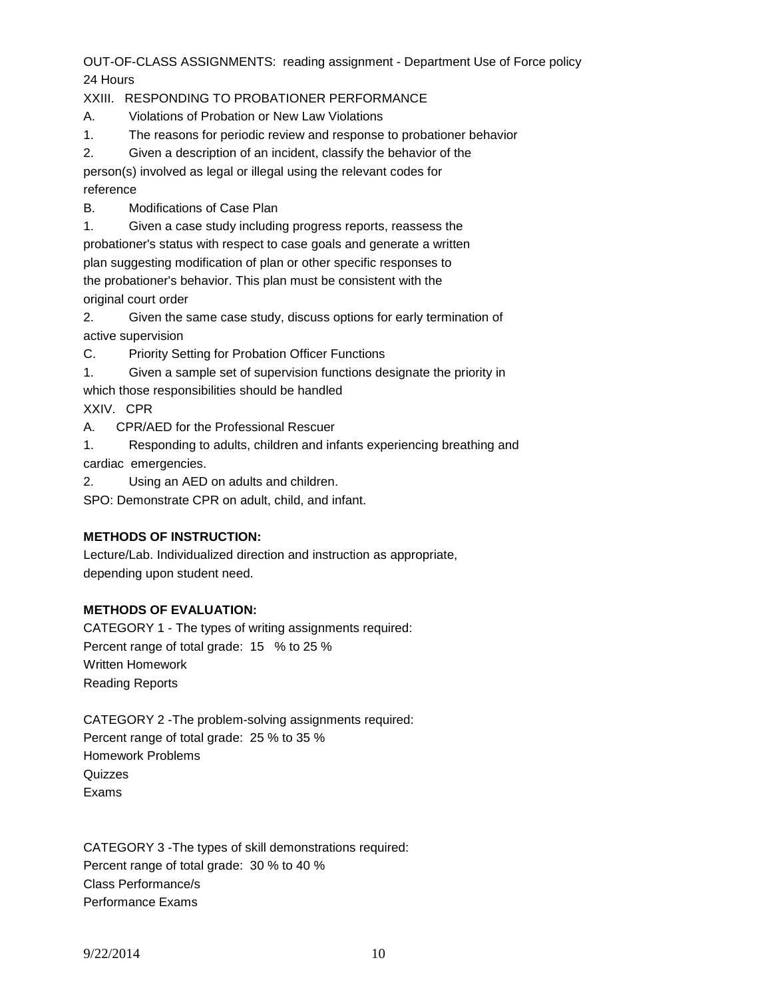OUT-OF-CLASS ASSIGNMENTS: reading assignment - Department Use of Force policy 24 Hours

## XXIII. RESPONDING TO PROBATIONER PERFORMANCE

A. Violations of Probation or New Law Violations

- 1. The reasons for periodic review and response to probationer behavior
- 2. Given a description of an incident, classify the behavior of the

person(s) involved as legal or illegal using the relevant codes for reference

B. Modifications of Case Plan

1. Given a case study including progress reports, reassess the probationer's status with respect to case goals and generate a written plan suggesting modification of plan or other specific responses to the probationer's behavior. This plan must be consistent with the original court order

2. Given the same case study, discuss options for early termination of active supervision

C. Priority Setting for Probation Officer Functions

- 1. Given a sample set of supervision functions designate the priority in
- which those responsibilities should be handled

XXIV. CPR

A. CPR/AED for the Professional Rescuer

1. Responding to adults, children and infants experiencing breathing and cardiac emergencies.

2. Using an AED on adults and children.

SPO: Demonstrate CPR on adult, child, and infant.

# **METHODS OF INSTRUCTION:**

Lecture/Lab. Individualized direction and instruction as appropriate, depending upon student need.

# **METHODS OF EVALUATION:**

CATEGORY 1 - The types of writing assignments required: Percent range of total grade: 15 % to 25 % Written Homework Reading Reports

CATEGORY 2 -The problem-solving assignments required: Percent range of total grade: 25 % to 35 % Homework Problems **Quizzes** Exams

CATEGORY 3 -The types of skill demonstrations required: Percent range of total grade: 30 % to 40 % Class Performance/s Performance Exams